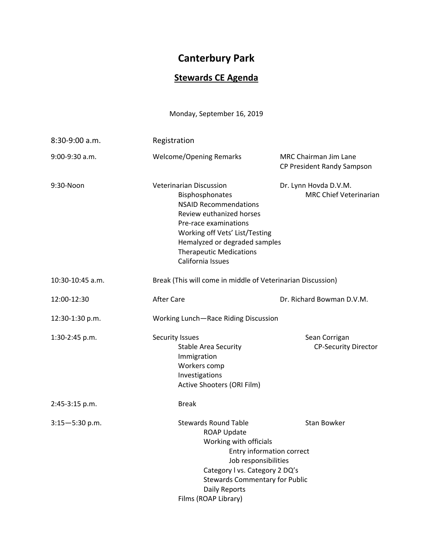## **Canterbury Park**

## **Stewards CE Agenda**

Monday, September 16, 2019

| 8:30-9:00 a.m.     | Registration                                                                                                                                                                                                                                                     |                                                            |  |
|--------------------|------------------------------------------------------------------------------------------------------------------------------------------------------------------------------------------------------------------------------------------------------------------|------------------------------------------------------------|--|
| 9:00-9:30 a.m.     | <b>Welcome/Opening Remarks</b>                                                                                                                                                                                                                                   | <b>MRC Chairman Jim Lane</b><br>CP President Randy Sampson |  |
| 9:30-Noon          | <b>Veterinarian Discussion</b><br>Bisphosphonates<br><b>NSAID Recommendations</b><br>Review euthanized horses<br>Pre-race examinations<br>Working off Vets' List/Testing<br>Hemalyzed or degraded samples<br><b>Therapeutic Medications</b><br>California Issues | Dr. Lynn Hovda D.V.M.<br><b>MRC Chief Veterinarian</b>     |  |
| 10:30-10:45 a.m.   | Break (This will come in middle of Veterinarian Discussion)                                                                                                                                                                                                      |                                                            |  |
| 12:00-12:30        | <b>After Care</b>                                                                                                                                                                                                                                                | Dr. Richard Bowman D.V.M.                                  |  |
| 12:30-1:30 p.m.    | Working Lunch-Race Riding Discussion                                                                                                                                                                                                                             |                                                            |  |
| 1:30-2:45 p.m.     | Security Issues<br><b>Stable Area Security</b><br>Immigration<br>Workers comp<br>Investigations<br>Active Shooters (ORI Film)                                                                                                                                    | Sean Corrigan<br>CP-Security Director                      |  |
| 2:45-3:15 p.m.     | <b>Break</b>                                                                                                                                                                                                                                                     |                                                            |  |
| $3:15 - 5:30$ p.m. | <b>Stewards Round Table</b><br><b>ROAP Update</b><br>Working with officials<br>Job responsibilities<br>Category I vs. Category 2 DQ's<br><b>Stewards Commentary for Public</b><br>Daily Reports<br>Films (ROAP Library)                                          | <b>Stan Bowker</b><br>Entry information correct            |  |